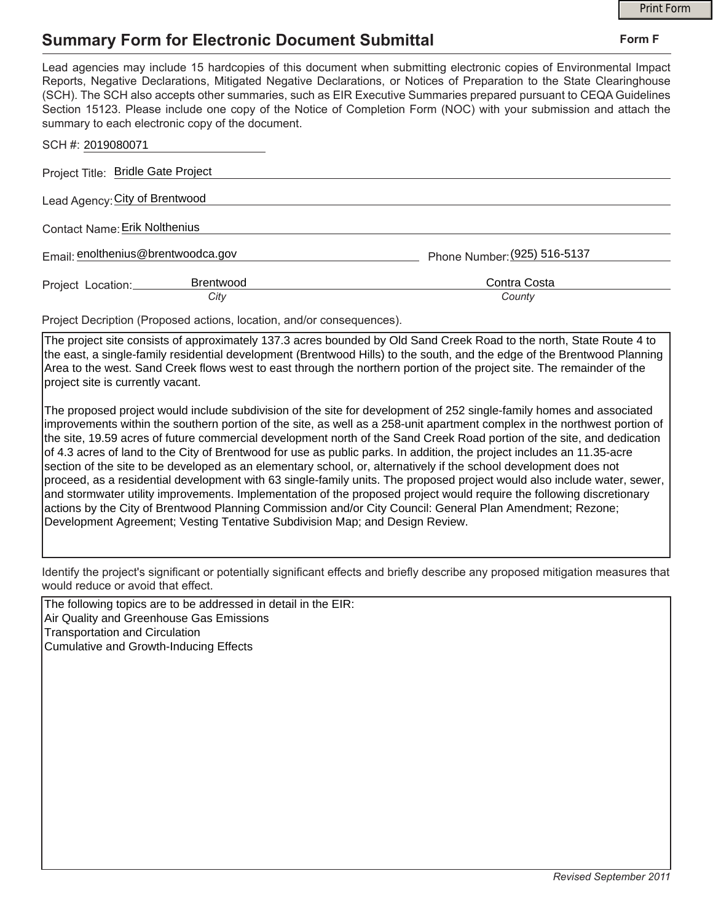## **Summary Form for Electronic Document Submittal**

|                                      |                                                                       | <b>Print Form</b>                                                                                                                                                                                                                                                                                                                                                                                                                                                                     |
|--------------------------------------|-----------------------------------------------------------------------|---------------------------------------------------------------------------------------------------------------------------------------------------------------------------------------------------------------------------------------------------------------------------------------------------------------------------------------------------------------------------------------------------------------------------------------------------------------------------------------|
|                                      | <b>Summary Form for Electronic Document Submittal</b>                 | Form F                                                                                                                                                                                                                                                                                                                                                                                                                                                                                |
|                                      | summary to each electronic copy of the document.                      | Lead agencies may include 15 hardcopies of this document when submitting electronic copies of Environmental Impact<br>Reports, Negative Declarations, Mitigated Negative Declarations, or Notices of Preparation to the State Clearinghouse<br>(SCH). The SCH also accepts other summaries, such as EIR Executive Summaries prepared pursuant to CEQA Guidelines<br>Section 15123. Please include one copy of the Notice of Completion Form (NOC) with your submission and attach the |
| SCH #: 2019080071                    |                                                                       |                                                                                                                                                                                                                                                                                                                                                                                                                                                                                       |
| Project Title: Bridle Gate Project   |                                                                       |                                                                                                                                                                                                                                                                                                                                                                                                                                                                                       |
| Lead Agency: City of Brentwood       |                                                                       |                                                                                                                                                                                                                                                                                                                                                                                                                                                                                       |
| <b>Contact Name: Erik Nolthenius</b> |                                                                       |                                                                                                                                                                                                                                                                                                                                                                                                                                                                                       |
| Email: enolthenius@brentwoodca.gov   |                                                                       | Phone Number: (925) 516-5137                                                                                                                                                                                                                                                                                                                                                                                                                                                          |
| Project Location:                    | <b>Brentwood</b><br>City                                              | Contra Costa<br>County                                                                                                                                                                                                                                                                                                                                                                                                                                                                |
|                                      | Project Decription (Proposed actions, location, and/or consequences). |                                                                                                                                                                                                                                                                                                                                                                                                                                                                                       |
|                                      |                                                                       | The project site consists of approximately 137.3 acres bounded by Old Sand Creek Road to the north. State Route 4 to                                                                                                                                                                                                                                                                                                                                                                  |

project site consists of approximately 137.3 acres bounded by Old Sand Creek Road to the north, State Ro the east, a single-family residential development (Brentwood Hills) to the south, and the edge of the Brentwood Planning Area to the west. Sand Creek flows west to east through the northern portion of the project site. The remainder of the project site is currently vacant.

The proposed project would include subdivision of the site for development of 252 single-family homes and associated improvements within the southern portion of the site, as well as a 258-unit apartment complex in the northwest portion of the site, 19.59 acres of future commercial development north of the Sand Creek Road portion of the site, and dedication of 4.3 acres of land to the City of Brentwood for use as public parks. In addition, the project includes an 11.35-acre section of the site to be developed as an elementary school, or, alternatively if the school development does not proceed, as a residential development with 63 single-family units. The proposed project would also include water, sewer, and stormwater utility improvements. Implementation of the proposed project would require the following discretionary actions by the City of Brentwood Planning Commission and/or City Council: General Plan Amendment; Rezone; Development Agreement; Vesting Tentative Subdivision Map; and Design Review.

Identify the project's significant or potentially significant effects and briefly describe any proposed mitigation measures that would reduce or avoid that effect.

The following topics are to be addressed in detail in the EIR: Air Quality and Greenhouse Gas Emissions Transportation and Circulation Cumulative and Growth-Inducing Effects